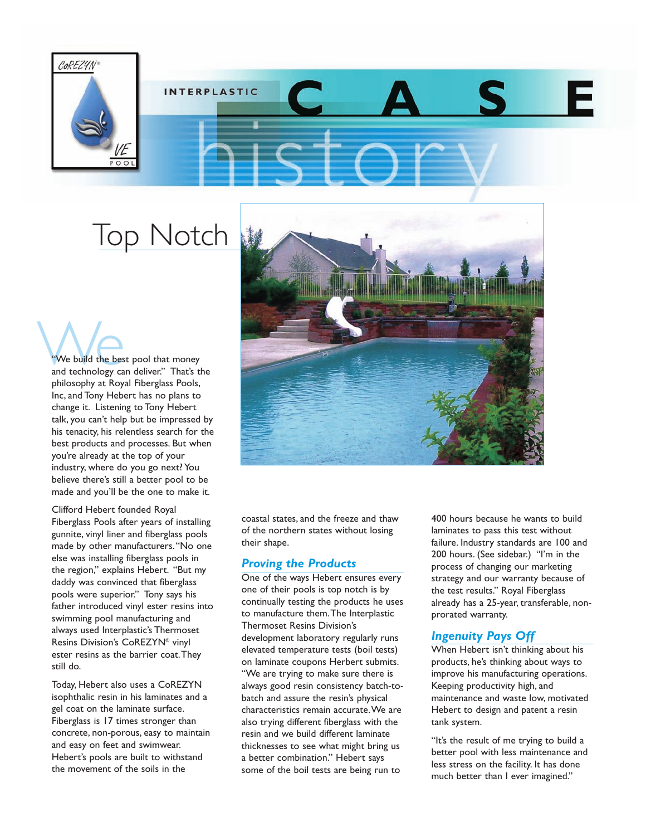

# **INTERPLASTIC**

## Top Notch

We build the best pool that money<br>and technology can deliver." That's the philosophy at Royal Fiberglass Pools, Inc, and Tony Hebert has no plans to change it. Listening to Tony Hebert talk, you can't help but be impressed by his tenacity, his relentless search for the best products and processes. But when you're already at the top of your industry, where do you go next? You believe there's still a better pool to be made and you'll be the one to make it.

Clifford Hebert founded Royal Fiberglass Pools after years of installing gunnite, vinyl liner and fiberglass pools made by other manufacturers."No one else was installing fiberglass pools in the region," explains Hebert. "But my daddy was convinced that fiberglass pools were superior." Tony says his father introduced vinyl ester resins into swimming pool manufacturing and always used Interplastic's Thermoset Resins Division's CoREZYN® vinyl ester resins as the barrier coat.They still do.

Today, Hebert also uses a CoREZYN isophthalic resin in his laminates and a gel coat on the laminate surface. Fiberglass is 17 times stronger than concrete, non-porous, easy to maintain and easy on feet and swimwear. Hebert's pools are built to withstand the movement of the soils in the



coastal states, and the freeze and thaw of the northern states without losing their shape.

#### *Proving the Products*

One of the ways Hebert ensures every one of their pools is top notch is by continually testing the products he uses to manufacture them.The Interplastic Thermoset Resins Division's development laboratory regularly runs elevated temperature tests (boil tests) on laminate coupons Herbert submits. "We are trying to make sure there is always good resin consistency batch-tobatch and assure the resin's physical characteristics remain accurate.We are also trying different fiberglass with the resin and we build different laminate thicknesses to see what might bring us a better combination." Hebert says some of the boil tests are being run to

400 hours because he wants to build laminates to pass this test without failure. Industry standards are 100 and 200 hours. (See sidebar.) "I'm in the process of changing our marketing strategy and our warranty because of the test results." Royal Fiberglass already has a 25-year, transferable, nonprorated warranty.

#### *Ingenuity Pays Off*

When Hebert isn't thinking about his products, he's thinking about ways to improve his manufacturing operations. Keeping productivity high, and maintenance and waste low, motivated Hebert to design and patent a resin tank system.

"It's the result of me trying to build a better pool with less maintenance and less stress on the facility. It has done much better than I ever imagined."